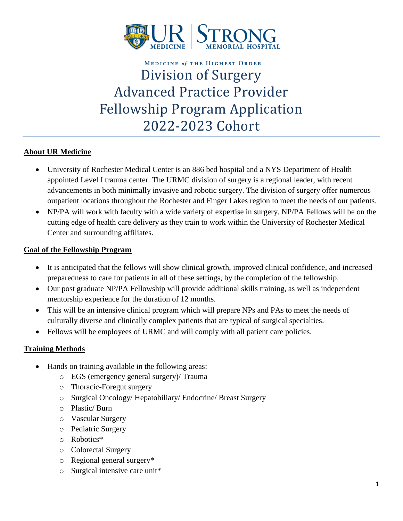

# **MEDICINE of THE HIGHEST ORDER** Division of Surgery Advanced Practice Provider Fellowship Program Application 2022-2023 Cohort

#### **About UR Medicine**

- University of Rochester Medical Center is an 886 bed hospital and a NYS Department of Health appointed Level I trauma center. The URMC division of surgery is a regional leader, with recent advancements in both minimally invasive and robotic surgery. The division of surgery offer [numerous](https://www.urmc.rochester.edu/cancer-institute/locations.aspx) [outpatient](https://www.urmc.rochester.edu/cancer-institute/locations.aspx) locations throughout the Rochester and Finger Lakes region to meet the needs of our patients.
- NP/PA will work with faculty with a wide variety of expertise in surgery. NP/PA Fellows will be on the cutting edge of health care delivery as they train to work within the University of Rochester Medical Center and surrounding affiliates.

#### **Goal of the Fellowship Program**

- It is anticipated that the fellows will show clinical growth, improved clinical confidence, and increased preparedness to care for patients in all of these settings, by the completion of the fellowship.
- Our post graduate NP/PA Fellowship will provide additional skills training, as well as independent mentorship experience for the duration of 12 months.
- This will be an intensive clinical program which will prepare NPs and PAs to meet the needs of culturally diverse and clinically complex patients that are typical of surgical specialties.
- Fellows will be employees of URMC and will comply with all patient care policies.

#### **Training Methods**

- Hands on training available in the following areas:
	- o EGS (emergency general surgery)/ Trauma
	- o Thoracic-Foregut surgery
	- o Surgical Oncology/ Hepatobiliary/ Endocrine/ Breast Surgery
	- o Plastic/ Burn
	- o Vascular Surgery
	- o Pediatric Surgery
	- o Robotics\*
	- o Colorectal Surgery
	- o Regional general surgery\*
	- o Surgical intensive care unit\*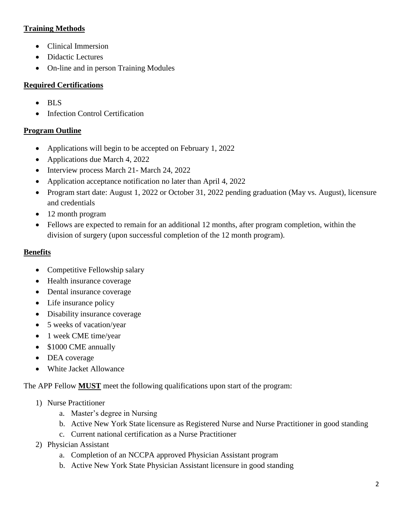# **Training Methods**

- Clinical Immersion
- Didactic Lectures
- On-line and in person Training Modules

# **Required Certifications**

- BLS
- **Infection Control Certification**

# **Program Outline**

- Applications will begin to be accepted on February 1, 2022
- Applications due March 4, 2022
- Interview process March 21- March 24, 2022
- Application acceptance notification no later than April 4, 2022
- Program start date: August 1, 2022 or October 31, 2022 pending graduation (May vs. August), licensure and credentials
- 12 month program
- Fellows are expected to remain for an additional 12 months, after program completion, within the division of surgery (upon successful completion of the 12 month program).

# **Benefits**

- Competitive Fellowship salary
- Health insurance coverage
- Dental insurance coverage
- Life insurance policy
- Disability insurance coverage
- 5 weeks of vacation/year
- 1 week CME time/year
- \$1000 CME annually
- DEA coverage
- White Jacket Allowance

The APP Fellow **MUST** meet the following qualifications upon start of the program:

- 1) Nurse Practitioner
	- a. Master's degree in Nursing
	- b. Active New York State licensure as Registered Nurse and Nurse Practitioner in good standing
	- c. Current national certification as a Nurse Practitioner
- 2) Physician Assistant
	- a. Completion of an NCCPA approved Physician Assistant program
	- b. Active New York State Physician Assistant licensure in good standing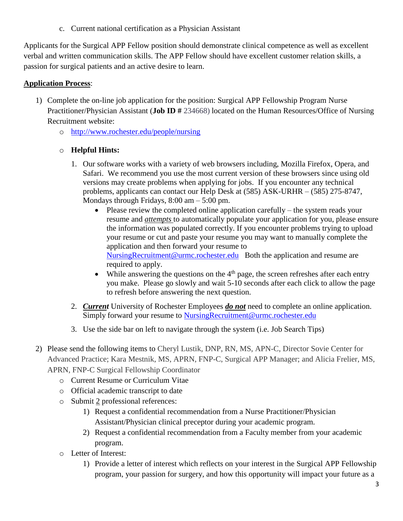c. Current national certification as a Physician Assistant

Applicants for the Surgical APP Fellow position should demonstrate clinical competence as well as excellent verbal and written communication skills. The APP Fellow should have excellent customer relation skills, a passion for surgical patients and an active desire to learn.

### **Application Process**:

- 1) Complete the on-line job application for the position: Surgical APP Fellowship Program Nurse Practitioner/Physician Assistant (**Job ID #** 234668) located on the Human Resources/Office of Nursing Recruitment website:
	- o <http://www.rochester.edu/people/nursing>

#### o **Helpful Hints:**

- 1. Our software works with a variety of web browsers including, Mozilla Firefox, Opera, and Safari. We recommend you use the most current version of these browsers since using old versions may create problems when applying for jobs. If you encounter any technical problems, applicants can contact our Help Desk at (585) ASK-URHR – (585) 275-8747, Mondays through Fridays,  $8:00 \text{ am} - 5:00 \text{ pm}$ .
	- Please review the completed online application carefully the system reads your resume and *attempts* to automatically populate your application for you, please ensure the information was populated correctly. If you encounter problems trying to upload your resume or cut and paste your resume you may want to manually complete the application and then forward your resume to [NursingRecruitment@urmc.rochester.edu](mailto:NursingRecruitment@urmc.rochester.edu) Both the application and resume are required to apply.
	- While answering the questions on the  $4<sup>th</sup>$  page, the screen refreshes after each entry you make. Please go slowly and wait 5-10 seconds after each click to allow the page to refresh before answering the next question.
- 2. *Current* University of Rochester Employees *do not* need to complete an online application. Simply forward your resume to [NursingRecruitment@urmc.rochester.edu](mailto:NursingRecruitment@urmc.rochester.edu)
- 3. Use the side bar on left to navigate through the system (i.e. Job Search Tips)
- 2) Please send the following items to Cheryl Lustik, DNP, RN, MS, APN-C, Director Sovie Center for Advanced Practice; Kara Mestnik, MS, APRN, FNP-C, Surgical APP Manager; and Alicia Frelier, MS, APRN, FNP-C Surgical Fellowship Coordinator
	- o Current Resume or Curriculum Vitae
	- o Official academic transcript to date
	- o Submit 2 professional references:
		- 1) Request a confidential recommendation from a Nurse Practitioner/Physician Assistant/Physician clinical preceptor during your academic program.
		- 2) Request a confidential recommendation from a Faculty member from your academic program.
	- o Letter of Interest:
		- 1) Provide a letter of interest which reflects on your interest in the Surgical APP Fellowship program, your passion for surgery, and how this opportunity will impact your future as a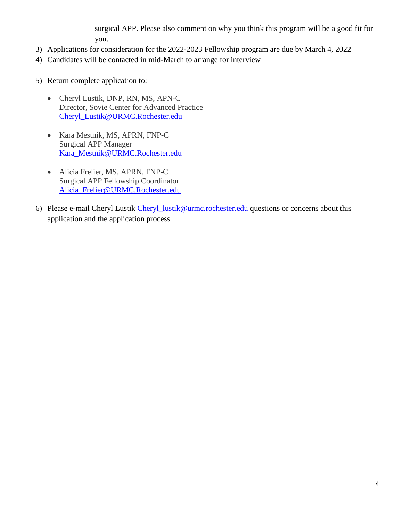surgical APP. Please also comment on why you think this program will be a good fit for you.

- 3) Applications for consideration for the 2022-2023 Fellowship program are due by March 4, 2022
- 4) Candidates will be contacted in mid-March to arrange for interview
- 5) Return complete application to:
	- Cheryl Lustik, DNP, RN, MS, APN-C Director, Sovie Center for Advanced Practice [Cheryl\\_Lustik@URMC.Rochester.edu](mailto:Cheryl_Lustik@URMC.Rochester.edu)
	- Kara Mestnik, MS, APRN, FNP-C Surgical APP Manager [Kara\\_Mestnik@URMC.Rochester.edu](mailto:Kara_Mestnik@URMC.Rochester.edu)
	- Alicia Frelier, MS, APRN, FNP-C Surgical APP Fellowship Coordinator [Alicia\\_Frelier@URMC.Rochester.edu](mailto:Alicia_Frelier@URMC.Rochester.edu)
- 6) Please e-mail Cheryl Lustik [Cheryl\\_lustik@urmc.rochester.edu](mailto:Cheryl_lustik@urmc.rochester.edu) questions or concerns about this application and the application process.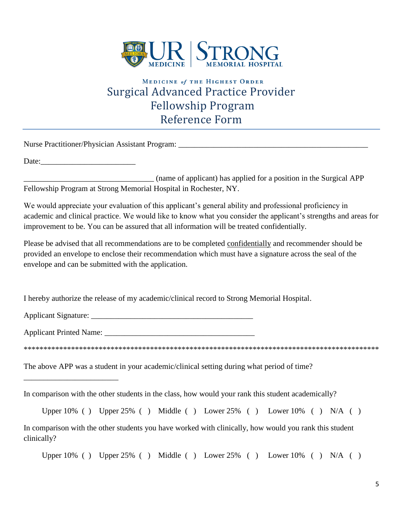

# **MEDICINE of THE HIGHEST ORDER** Surgical Advanced Practice Provider Fellowship Program Reference Form

Nurse Practitioner/Physician Assistant Program: \_\_\_\_\_\_\_\_\_\_\_\_\_\_\_\_\_\_\_\_\_\_\_\_\_\_\_\_\_\_\_\_

\_\_\_\_\_\_\_\_\_\_\_\_\_\_\_\_\_\_\_\_\_\_\_\_

Date:

\_\_\_\_\_\_\_\_\_\_\_\_\_\_\_\_\_\_\_\_\_\_\_\_\_\_\_\_\_\_\_\_\_ (name of applicant) has applied for a position in the Surgical APP Fellowship Program at Strong Memorial Hospital in Rochester, NY.

We would appreciate your evaluation of this applicant's general ability and professional proficiency in academic and clinical practice. We would like to know what you consider the applicant's strengths and areas for improvement to be. You can be assured that all information will be treated confidentially.

Please be advised that all recommendations are to be completed confidentially and recommender should be provided an envelope to enclose their recommendation which must have a signature across the seal of the envelope and can be submitted with the application.

I hereby authorize the release of my academic/clinical record to Strong Memorial Hospital.

Applicant Signature: \_\_\_\_\_\_\_\_\_\_\_\_\_\_\_\_\_\_\_\_\_\_\_\_\_\_\_\_\_\_\_\_\_\_\_\_\_\_\_\_\_

Applicant Printed Name: \_\_\_\_\_\_\_\_\_\_\_\_\_\_\_\_\_\_\_\_\_\_\_\_\_\_\_\_\_\_\_\_\_\_\_\_\_\_

\*\*\*\*\*\*\*\*\*\*\*\*\*\*\*\*\*\*\*\*\*\*\*\*\*\*\*\*\*\*\*\*\*\*\*\*\*\*\*\*\*\*\*\*\*\*\*\*\*\*\*\*\*\*\*\*\*\*\*\*\*\*\*\*\*\*\*\*\*\*\*\*\*\*\*\*\*\*\*\*\*\*\*\*\*\*\*\*\*\*

The above APP was a student in your academic/clinical setting during what period of time?

In comparison with the other students in the class, how would your rank this student academically?

Upper  $10\%$  ( ) Upper  $25\%$  ( ) Middle ( ) Lower  $25\%$  ( ) Lower  $10\%$  ( ) N/A ( )

In comparison with the other students you have worked with clinically, how would you rank this student clinically?

Upper  $10\%$  ( ) Upper  $25\%$  ( ) Middle ( ) Lower  $25\%$  ( ) Lower  $10\%$  ( ) N/A ( )